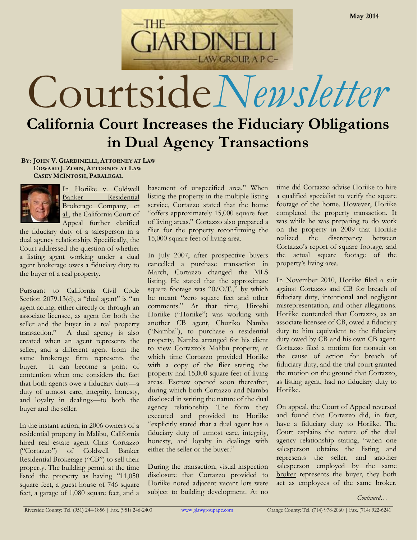Courtside*Newsletter* **California Court Increases the Fiduciary Obligations** 

LAW GROUP, A P C-

**AR DINE** 

**in Dual Agency Transactions**

**BY: JOHN V. GIARDINELLI, ATTORNEY AT LAW EDWARD J. ZORN, ATTORNEY AT LAW CASEY MCINTOSH, PARALEGAL**



In Horiike v. Coldwell Banker Residential Brokerage Company, et al., the California Court of Appeal further clarified

the fiduciary duty of a salesperson in a dual agency relationship. Specifically, the Court addressed the question of whether a listing agent working under a dual agent brokerage owes a fiduciary duty to the buyer of a real property.

Pursuant to California Civil Code Section 2079.13(d), a "dual agent" is "an agent acting, either directly or through an associate licensee, as agent for both the seller and the buyer in a real property transaction." A dual agency is also created when an agent represents the seller, and a different agent from the same brokerage firm represents the buyer. It can become a point of contention when one considers the fact that both agents owe a fiduciary duty—a duty of utmost care, integrity, honesty, and loyalty in dealings—to both the buyer and the seller.

In the instant action, in 2006 owners of a residential property in Malibu, California hired real estate agent Chris Cortazzo ("Cortazzo") of Coldwell Banker Residential Brokerage ("CB") to sell their property. The building permit at the time listed the property as having "11,050 square feet, a guest house of 746 square feet, a garage of 1,080 square feet, and a

basement of unspecified area." When listing the property in the multiple listing service, Cortazzo stated that the home "offers approximately 15,000 square feet of living areas." Cortazzo also prepared a flier for the property reconfirming the 15,000 square feet of living area.

In July 2007, after prospective buyers cancelled a purchase transaction in March, Cortazzo changed the MLS listing. He stated that the approximate square footage was " $0/O.T.'$ ," by which he meant "zero square feet and other comments." At that time, Hiroshi Horiike ("Horiike") was working with another CB agent, Chuziko Namba ("Namba"), to purchase a residential property, Namba arranged for his client to view Cortazzo's Malibu property, at which time Cortazzo provided Horiike with a copy of the flier stating the property had 15,000 square feet of living areas. Escrow opened soon thereafter, during which both Cortazzo and Namba disclosed in writing the nature of the dual agency relationship. The form they executed and provided to Horiike "explicitly stated that a dual agent has a fiduciary duty of utmost care, integrity, honesty, and loyalty in dealings with either the seller or the buyer."

During the transaction, visual inspection disclosure that Cortazzo provided to Horiike noted adjacent vacant lots were subject to building development. At no

time did Cortazzo advise Horiike to hire a qualified specialist to verify the square footage of the home. However, Horiike completed the property transaction. It was while he was preparing to do work on the property in 2009 that Horiike realized the discrepancy between Cortazzo's report of square footage, and the actual square footage of the property's living area.

In November 2010, Horiike filed a suit against Cortazzo and CB for breach of fiduciary duty, intentional and negligent misrepresentation, and other allegations. Horiike contended that Cortazzo, as an associate licensee of CB, owed a fiduciary duty to him equivalent to the fiduciary duty owed by CB and his own CB agent. Cortazzo filed a motion for nonsuit on the cause of action for breach of fiduciary duty, and the trial court granted the motion on the ground that Cortazzo, as listing agent, had no fiduciary duty to Horiike.

On appeal, the Court of Appeal reversed and found that Cortazzo did, in fact, have a fiduciary duty to Horiike. The Court explains the nature of the dual agency relationship stating, "when one salesperson obtains the listing and represents the seller, and another salesperson employed by the same broker represents the buyer, they both act as employees of the same broker.

*Continued…*